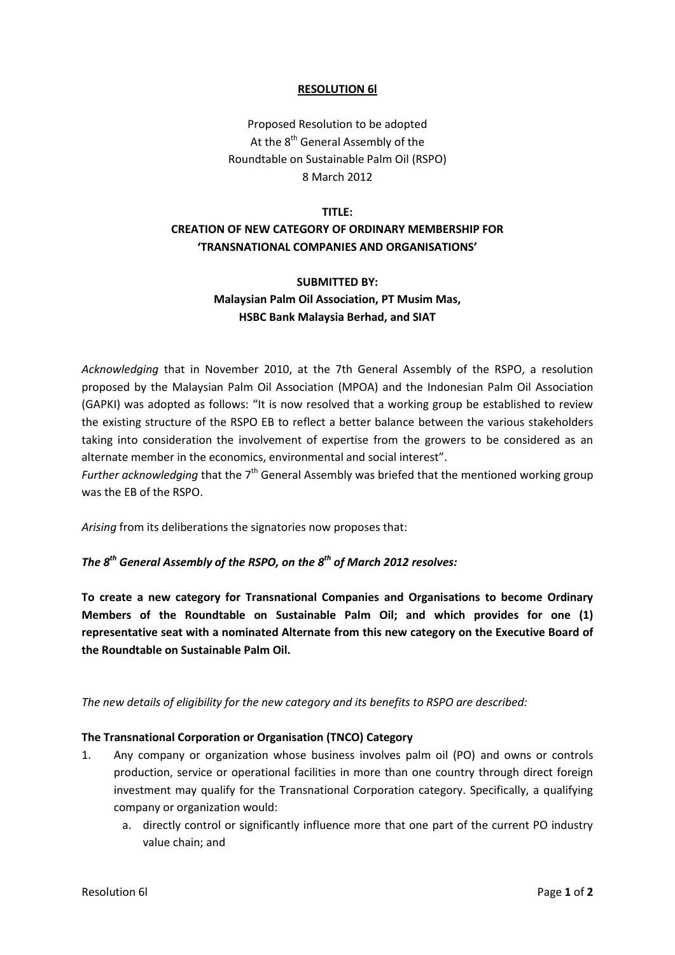#### **RESOLUTION 6l**

Proposed Resolution to be adopted At the 8<sup>th</sup> General Assembly of the Roundtable on Sustainable Palm Oil (RSPO) 8 March 2012

#### **TITLE:**

# **CREATION OF NEW CATEGORY OF ORDINARY MEMBERSHIP FOR 'TRANSNATIONAL COMPANIES AND ORGANISATIONS'**

# **SUBMITTED BY: Malaysian Palm Oil Association, PT Musim Mas, HSBC Bank Malaysia Berhad, and SIAT**

*Acknowledging* that in November 2010, at the 7th General Assembly of the RSPO, a resolution proposed by the Malaysian Palm Oil Association (MPOA) and the Indonesian Palm Oil Association (GAPKI) was adopted as follows: "It is now resolved that a working group be established to review the existing structure of the RSPO EB to reflect a better balance between the various stakeholders taking into consideration the involvement of expertise from the growers to be considered as an alternate member in the economics, environmental and social interest".

*Further acknowledging* that the 7<sup>th</sup> General Assembly was briefed that the mentioned working group was the EB of the RSPO.

*Arising* from its deliberations the signatories now proposes that:

## *The 8 th General Assembly of the RSPO, on the 8 th of March 2012 resolves:*

**To create a new category for Transnational Companies and Organisations to become Ordinary Members of the Roundtable on Sustainable Palm Oil; and which provides for one (1) representative seat with a nominated Alternate from this new category on the Executive Board of the Roundtable on Sustainable Palm Oil.**

*The new details of eligibility for the new category and its benefits to RSPO are described:*

### **The Transnational Corporation or Organisation (TNCO) Category**

- 1. Any company or organization whose business involves palm oil (PO) and owns or controls production, service or operational facilities in more than one country through direct foreign investment may qualify for the Transnational Corporation category. Specifically, a qualifying company or organization would:
	- a. directly control or significantly influence more that one part of the current PO industry value chain; and